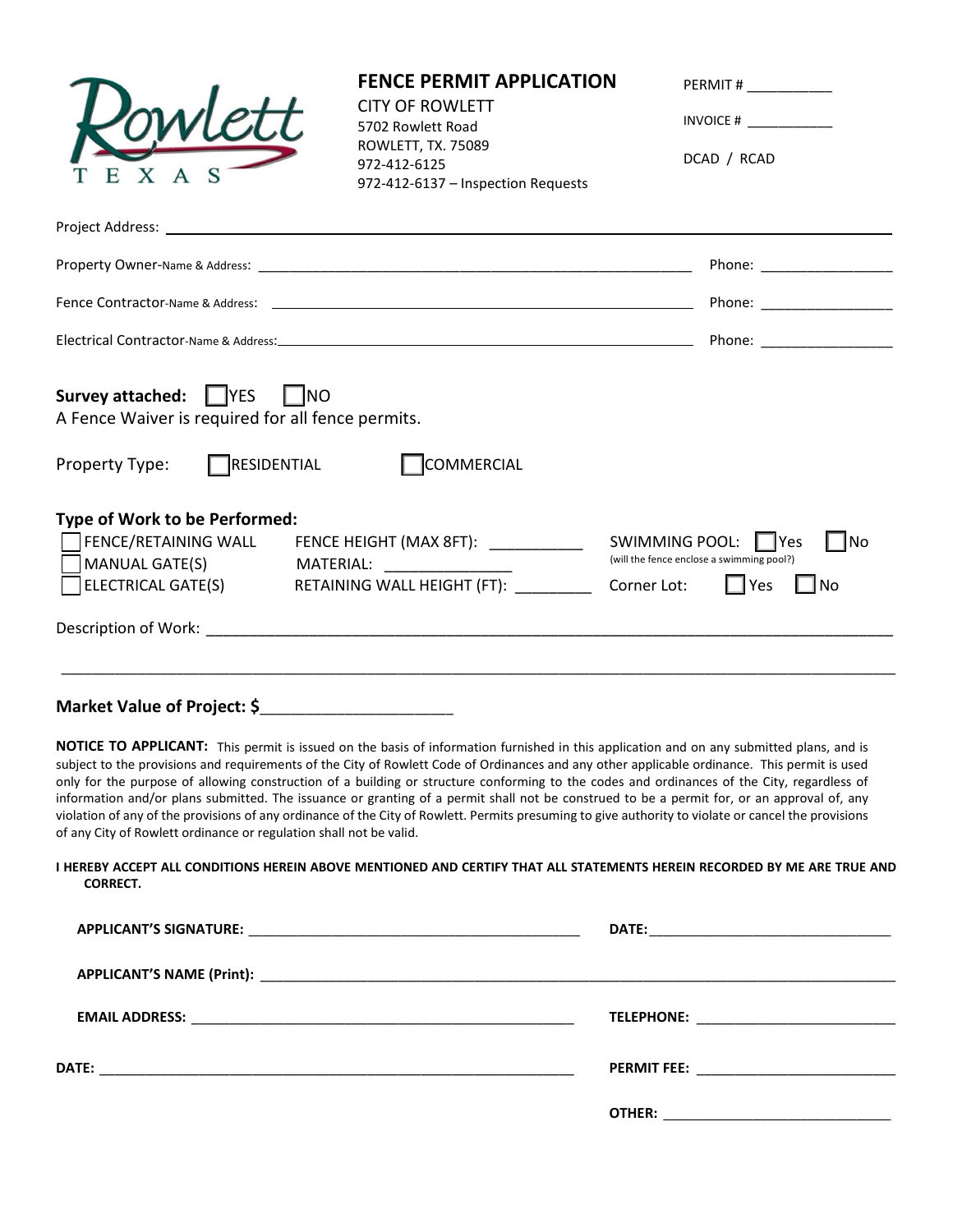|                                                                                   | <b>FENCE PERMIT APPLICATION</b><br><b>CITY OF ROWLETT</b><br>5702 Rowlett Road<br>ROWLETT, TX. 75089<br>972-412-6125<br>972-412-6137 - Inspection Requests                                                                                                                                                                                                                                                                                                                                                                                                                                                                                                                                                                                 | PERMIT # _____________<br>INVOICE # $\qquad \qquad$<br>DCAD / RCAD                |
|-----------------------------------------------------------------------------------|--------------------------------------------------------------------------------------------------------------------------------------------------------------------------------------------------------------------------------------------------------------------------------------------------------------------------------------------------------------------------------------------------------------------------------------------------------------------------------------------------------------------------------------------------------------------------------------------------------------------------------------------------------------------------------------------------------------------------------------------|-----------------------------------------------------------------------------------|
|                                                                                   |                                                                                                                                                                                                                                                                                                                                                                                                                                                                                                                                                                                                                                                                                                                                            |                                                                                   |
|                                                                                   |                                                                                                                                                                                                                                                                                                                                                                                                                                                                                                                                                                                                                                                                                                                                            |                                                                                   |
|                                                                                   |                                                                                                                                                                                                                                                                                                                                                                                                                                                                                                                                                                                                                                                                                                                                            |                                                                                   |
|                                                                                   |                                                                                                                                                                                                                                                                                                                                                                                                                                                                                                                                                                                                                                                                                                                                            |                                                                                   |
| <b>Survey attached:</b> FYES<br>A Fence Waiver is required for all fence permits. | $\vert$ $\vert$ NO                                                                                                                                                                                                                                                                                                                                                                                                                                                                                                                                                                                                                                                                                                                         |                                                                                   |
| Property Type:                                                                    | $\Box$ RESIDENTIAL<br><b>COMMERCIAL</b>                                                                                                                                                                                                                                                                                                                                                                                                                                                                                                                                                                                                                                                                                                    |                                                                                   |
| Type of Work to be Performed:<br><b>MANUAL GATE(S)</b>                            | MATERIAL: NATERIAL:<br>ELECTRICAL GATE(S) RETAINING WALL HEIGHT (FT): ______________ Corner Lot:                                                                                                                                                                                                                                                                                                                                                                                                                                                                                                                                                                                                                                           | $\Box$ No<br>(will the fence enclose a swimming pool?)<br>$\Box$ Yes<br>$\Box$ No |
| Market Value of Project: \$__________________________                             |                                                                                                                                                                                                                                                                                                                                                                                                                                                                                                                                                                                                                                                                                                                                            |                                                                                   |
| of any City of Rowlett ordinance or regulation shall not be valid.                | NOTICE TO APPLICANT: This permit is issued on the basis of information furnished in this application and on any submitted plans, and is<br>subject to the provisions and requirements of the City of Rowlett Code of Ordinances and any other applicable ordinance. This permit is used<br>only for the purpose of allowing construction of a building or structure conforming to the codes and ordinances of the City, regardless of<br>information and/or plans submitted. The issuance or granting of a permit shall not be construed to be a permit for, or an approval of, any<br>violation of any of the provisions of any ordinance of the City of Rowlett. Permits presuming to give authority to violate or cancel the provisions |                                                                                   |
| <b>CORRECT.</b>                                                                   | I HEREBY ACCEPT ALL CONDITIONS HEREIN ABOVE MENTIONED AND CERTIFY THAT ALL STATEMENTS HEREIN RECORDED BY ME ARE TRUE AND                                                                                                                                                                                                                                                                                                                                                                                                                                                                                                                                                                                                                   |                                                                                   |
| <b>APPLICANT'S SIGNATURE:</b>                                                     | <b>DATE:</b>                                                                                                                                                                                                                                                                                                                                                                                                                                                                                                                                                                                                                                                                                                                               |                                                                                   |

|                                                                            | <u> LAIL. ___________________________________</u> |
|----------------------------------------------------------------------------|---------------------------------------------------|
|                                                                            |                                                   |
| <b>EMAIL ADDRESS:</b><br><u> 1989 - Johann Barn, mars et al. (b. 1989)</u> | TELEPHONE: ____________________________           |
| <b>DATE:</b>                                                               | PERMIT FEE: ___________________________           |
|                                                                            | <b>OTHER:</b>                                     |